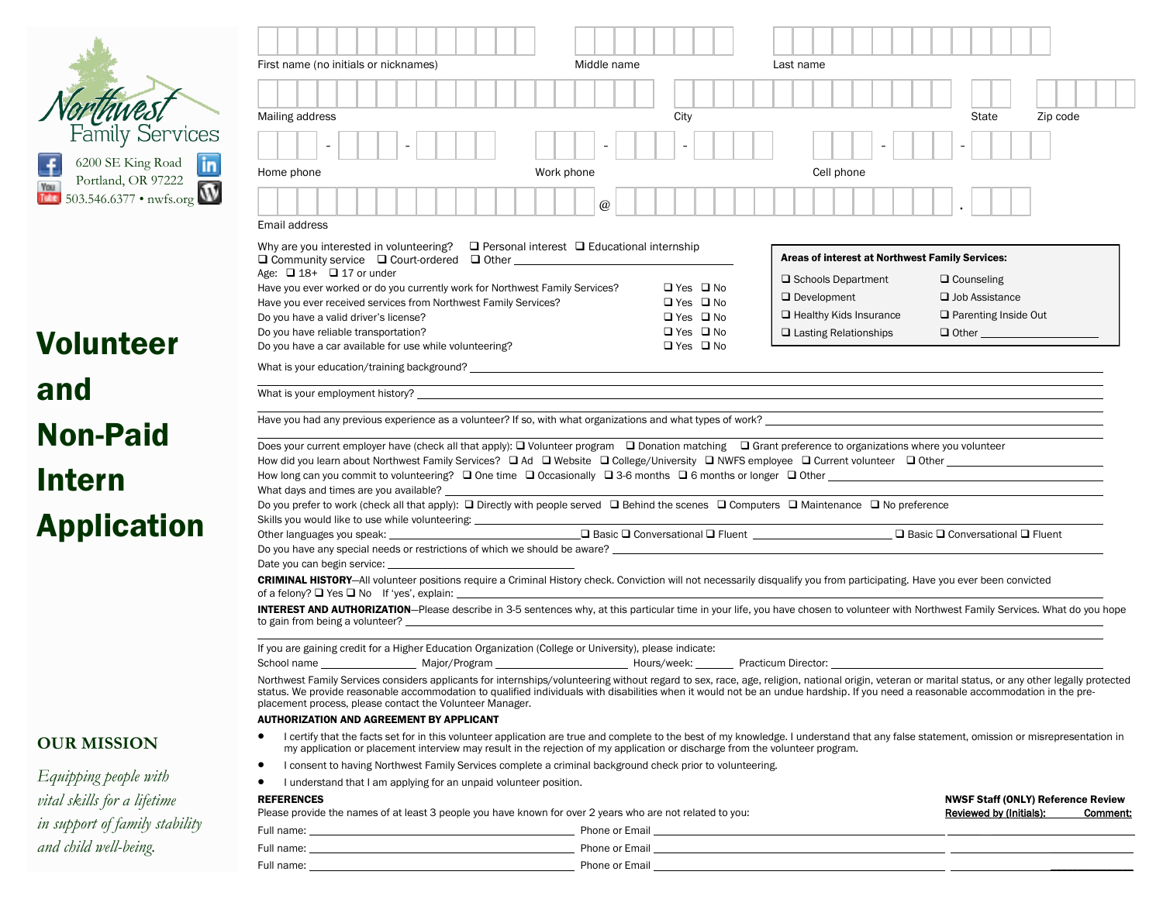|                                        | First name (no initials or nicknames)                                                                                                                                                                                                                                                                                                                                                   |  |  |  | Middle name                                                                                                           |             |  |  |                      |                                                                                                                                                                                                                                      | Last name |                               |  |                                                 |  |  |  |                             |                         |  |          |                                           |          |
|----------------------------------------|-----------------------------------------------------------------------------------------------------------------------------------------------------------------------------------------------------------------------------------------------------------------------------------------------------------------------------------------------------------------------------------------|--|--|--|-----------------------------------------------------------------------------------------------------------------------|-------------|--|--|----------------------|--------------------------------------------------------------------------------------------------------------------------------------------------------------------------------------------------------------------------------------|-----------|-------------------------------|--|-------------------------------------------------|--|--|--|-----------------------------|-------------------------|--|----------|-------------------------------------------|----------|
|                                        |                                                                                                                                                                                                                                                                                                                                                                                         |  |  |  |                                                                                                                       |             |  |  |                      |                                                                                                                                                                                                                                      |           |                               |  |                                                 |  |  |  |                             |                         |  |          |                                           |          |
|                                        | Mailing address                                                                                                                                                                                                                                                                                                                                                                         |  |  |  |                                                                                                                       |             |  |  | City                 |                                                                                                                                                                                                                                      |           |                               |  |                                                 |  |  |  |                             | State                   |  | Zip code |                                           |          |
| Family Services                        |                                                                                                                                                                                                                                                                                                                                                                                         |  |  |  |                                                                                                                       |             |  |  |                      |                                                                                                                                                                                                                                      |           |                               |  |                                                 |  |  |  |                             |                         |  |          |                                           |          |
| 6200 SE King Road<br>$\ln$             |                                                                                                                                                                                                                                                                                                                                                                                         |  |  |  |                                                                                                                       |             |  |  |                      |                                                                                                                                                                                                                                      |           |                               |  |                                                 |  |  |  |                             |                         |  |          |                                           |          |
| Portland, OR 97222                     | Home phone<br>Work phone                                                                                                                                                                                                                                                                                                                                                                |  |  |  |                                                                                                                       |             |  |  |                      |                                                                                                                                                                                                                                      |           | Cell phone                    |  |                                                 |  |  |  |                             |                         |  |          |                                           |          |
| You<br>Tube<br>503.546.6377 • nwfs.org |                                                                                                                                                                                                                                                                                                                                                                                         |  |  |  |                                                                                                                       | $\circleda$ |  |  |                      |                                                                                                                                                                                                                                      |           |                               |  |                                                 |  |  |  |                             |                         |  |          |                                           |          |
|                                        | Email address                                                                                                                                                                                                                                                                                                                                                                           |  |  |  |                                                                                                                       |             |  |  |                      |                                                                                                                                                                                                                                      |           |                               |  |                                                 |  |  |  |                             |                         |  |          |                                           |          |
|                                        | Why are you interested in volunteering? $\Box$ Personal interest $\Box$ Educational internship                                                                                                                                                                                                                                                                                          |  |  |  |                                                                                                                       |             |  |  |                      |                                                                                                                                                                                                                                      |           |                               |  |                                                 |  |  |  |                             |                         |  |          |                                           |          |
|                                        | $\Box$ Community service $\Box$ Court-ordered $\Box$ Other $\Box$                                                                                                                                                                                                                                                                                                                       |  |  |  |                                                                                                                       |             |  |  |                      |                                                                                                                                                                                                                                      |           |                               |  | Areas of interest at Northwest Family Services: |  |  |  |                             |                         |  |          |                                           |          |
|                                        | Age: $\Box$ 18+ $\Box$ 17 or under<br>Have you ever worked or do you currently work for Northwest Family Services?                                                                                                                                                                                                                                                                      |  |  |  |                                                                                                                       |             |  |  | $\Box$ Yes $\Box$ No |                                                                                                                                                                                                                                      |           | □ Schools Department          |  |                                                 |  |  |  |                             | $\Box$ Counseling       |  |          |                                           |          |
|                                        | Have you ever received services from Northwest Family Services?                                                                                                                                                                                                                                                                                                                         |  |  |  |                                                                                                                       |             |  |  | $\Box$ Yes $\Box$ No |                                                                                                                                                                                                                                      |           | $\Box$ Development            |  |                                                 |  |  |  | $\Box$ Job Assistance       |                         |  |          |                                           |          |
|                                        | Do you have a valid driver's license?                                                                                                                                                                                                                                                                                                                                                   |  |  |  |                                                                                                                       |             |  |  | $\Box$ Yes $\Box$ No |                                                                                                                                                                                                                                      |           | $\Box$ Healthy Kids Insurance |  |                                                 |  |  |  | $\Box$ Parenting Inside Out |                         |  |          |                                           |          |
| <b>Volunteer</b>                       | Do you have reliable transportation?<br>$\Box$ Yes $\Box$ No<br>$\Box$ Lasting Relationships<br>$\Box$ Other and $\Box$ Other and $\Box$<br>Do you have a car available for use while volunteering?<br>$\Box$ Yes $\Box$ No                                                                                                                                                             |  |  |  |                                                                                                                       |             |  |  |                      |                                                                                                                                                                                                                                      |           |                               |  |                                                 |  |  |  |                             |                         |  |          |                                           |          |
|                                        |                                                                                                                                                                                                                                                                                                                                                                                         |  |  |  |                                                                                                                       |             |  |  |                      |                                                                                                                                                                                                                                      |           |                               |  |                                                 |  |  |  |                             |                         |  |          |                                           |          |
| and                                    |                                                                                                                                                                                                                                                                                                                                                                                         |  |  |  | <u> 1989 - Johann Stoff, deutscher Stoffen und der Stoffen und der Stoffen und der Stoffen und der Stoffen und de</u> |             |  |  |                      |                                                                                                                                                                                                                                      |           |                               |  |                                                 |  |  |  |                             |                         |  |          |                                           |          |
| <b>Non-Paid</b>                        | Have you had any previous experience as a volunteer? If so, with what organizations and what types of work?                                                                                                                                                                                                                                                                             |  |  |  |                                                                                                                       |             |  |  |                      |                                                                                                                                                                                                                                      |           |                               |  |                                                 |  |  |  |                             |                         |  |          |                                           |          |
|                                        | Does your current employer have (check all that apply): $\Box$ Volunteer program $\Box$ Donation matching $\Box$ Grant preference to organizations where you volunteer                                                                                                                                                                                                                  |  |  |  |                                                                                                                       |             |  |  |                      |                                                                                                                                                                                                                                      |           |                               |  |                                                 |  |  |  |                             |                         |  |          |                                           |          |
| <b>Intern</b>                          |                                                                                                                                                                                                                                                                                                                                                                                         |  |  |  |                                                                                                                       |             |  |  |                      |                                                                                                                                                                                                                                      |           |                               |  |                                                 |  |  |  |                             |                         |  |          |                                           |          |
|                                        |                                                                                                                                                                                                                                                                                                                                                                                         |  |  |  |                                                                                                                       |             |  |  |                      |                                                                                                                                                                                                                                      |           |                               |  |                                                 |  |  |  |                             |                         |  |          |                                           |          |
|                                        | Do you prefer to work (check all that apply): □ Directly with people served □ Behind the scenes □ Computers □ Maintenance □ No preference<br>Skills you would like to use while volunteering: _______________________________                                                                                                                                                           |  |  |  |                                                                                                                       |             |  |  |                      |                                                                                                                                                                                                                                      |           |                               |  |                                                 |  |  |  |                             |                         |  |          |                                           |          |
| <b>Application</b>                     | Other languages you speak: <u>Channel Conversational Office of Conversational Office of Conversational Office of</u> Density Conversational Officent                                                                                                                                                                                                                                    |  |  |  |                                                                                                                       |             |  |  |                      |                                                                                                                                                                                                                                      |           |                               |  |                                                 |  |  |  |                             |                         |  |          |                                           |          |
|                                        | Do you have any special needs or restrictions of which we should be aware?                                                                                                                                                                                                                                                                                                              |  |  |  |                                                                                                                       |             |  |  |                      |                                                                                                                                                                                                                                      |           |                               |  |                                                 |  |  |  |                             |                         |  |          |                                           |          |
|                                        | Date you can begin service:<br><b>CRIMINAL HISTORY-All volunteer positions require a Criminal History check. Conviction will not necessarily disqualify you from participating. Have you ever been convicted</b>                                                                                                                                                                        |  |  |  |                                                                                                                       |             |  |  |                      |                                                                                                                                                                                                                                      |           |                               |  |                                                 |  |  |  |                             |                         |  |          |                                           |          |
|                                        | of a felony? $\Box$ Yes $\Box$ No If 'yes', explain:                                                                                                                                                                                                                                                                                                                                    |  |  |  |                                                                                                                       |             |  |  |                      |                                                                                                                                                                                                                                      |           |                               |  |                                                 |  |  |  |                             |                         |  |          |                                           |          |
|                                        | INTEREST AND AUTHORIZATION-Please describe in 3-5 sentences why, at this particular time in your life, you have chosen to volunteer with Northwest Family Services. What do you hope                                                                                                                                                                                                    |  |  |  |                                                                                                                       |             |  |  |                      |                                                                                                                                                                                                                                      |           |                               |  |                                                 |  |  |  |                             |                         |  |          |                                           |          |
|                                        |                                                                                                                                                                                                                                                                                                                                                                                         |  |  |  |                                                                                                                       |             |  |  |                      |                                                                                                                                                                                                                                      |           |                               |  |                                                 |  |  |  |                             |                         |  |          |                                           |          |
|                                        | If you are gaining credit for a Higher Education Organization (College or University), please indicate:                                                                                                                                                                                                                                                                                 |  |  |  |                                                                                                                       |             |  |  |                      |                                                                                                                                                                                                                                      |           |                               |  |                                                 |  |  |  |                             |                         |  |          |                                           |          |
|                                        | Northwest Family Services considers applicants for internships/volunteering without regard to sex, race, age, religion, national origin, veteran or marital status, or any other legally protected<br>status. We provide reasonable accommodation to qualified individuals with disabilities when it would not be an undue hardship. If you need a reasonable accommodation in the pre- |  |  |  |                                                                                                                       |             |  |  |                      |                                                                                                                                                                                                                                      |           |                               |  |                                                 |  |  |  |                             |                         |  |          |                                           |          |
|                                        | placement process, please contact the Volunteer Manager.                                                                                                                                                                                                                                                                                                                                |  |  |  |                                                                                                                       |             |  |  |                      |                                                                                                                                                                                                                                      |           |                               |  |                                                 |  |  |  |                             |                         |  |          |                                           |          |
|                                        | <b>AUTHORIZATION AND AGREEMENT BY APPLICANT</b><br>I certify that the facts set for in this volunteer application are true and complete to the best of my knowledge. I understand that any false statement, omission or misrepresentation in                                                                                                                                            |  |  |  |                                                                                                                       |             |  |  |                      |                                                                                                                                                                                                                                      |           |                               |  |                                                 |  |  |  |                             |                         |  |          |                                           |          |
| <b>OUR MISSION</b>                     | my application or placement interview may result in the rejection of my application or discharge from the volunteer program.                                                                                                                                                                                                                                                            |  |  |  |                                                                                                                       |             |  |  |                      |                                                                                                                                                                                                                                      |           |                               |  |                                                 |  |  |  |                             |                         |  |          |                                           |          |
|                                        | I consent to having Northwest Family Services complete a criminal background check prior to volunteering.<br>$\bullet$                                                                                                                                                                                                                                                                  |  |  |  |                                                                                                                       |             |  |  |                      |                                                                                                                                                                                                                                      |           |                               |  |                                                 |  |  |  |                             |                         |  |          |                                           |          |
| Equipping people with                  | I understand that I am applying for an unpaid volunteer position.<br>- 4                                                                                                                                                                                                                                                                                                                |  |  |  |                                                                                                                       |             |  |  |                      |                                                                                                                                                                                                                                      |           |                               |  |                                                 |  |  |  |                             |                         |  |          |                                           |          |
| vital skills for a lifetime            | <b>REFERENCES</b><br>Please provide the names of at least 3 people you have known for over 2 years who are not related to you:                                                                                                                                                                                                                                                          |  |  |  |                                                                                                                       |             |  |  |                      |                                                                                                                                                                                                                                      |           |                               |  |                                                 |  |  |  |                             | Reviewed by (Initials): |  |          | <b>NWSF Staff (ONLY) Reference Review</b> | Comment: |
| in support of family stability         |                                                                                                                                                                                                                                                                                                                                                                                         |  |  |  |                                                                                                                       |             |  |  |                      |                                                                                                                                                                                                                                      |           |                               |  |                                                 |  |  |  |                             |                         |  |          |                                           |          |
| and child well-being.                  |                                                                                                                                                                                                                                                                                                                                                                                         |  |  |  |                                                                                                                       |             |  |  |                      | Phone or Email <u>example and the set of the set of the set of the set of the set of the set of the set of the set of the set of the set of the set of the set of the set of the set of the set of the set of the set of the set</u> |           |                               |  |                                                 |  |  |  |                             |                         |  |          |                                           |          |

Full name: Phone or Email \_\_\_\_\_\_\_\_\_\_\_\_\_\_\_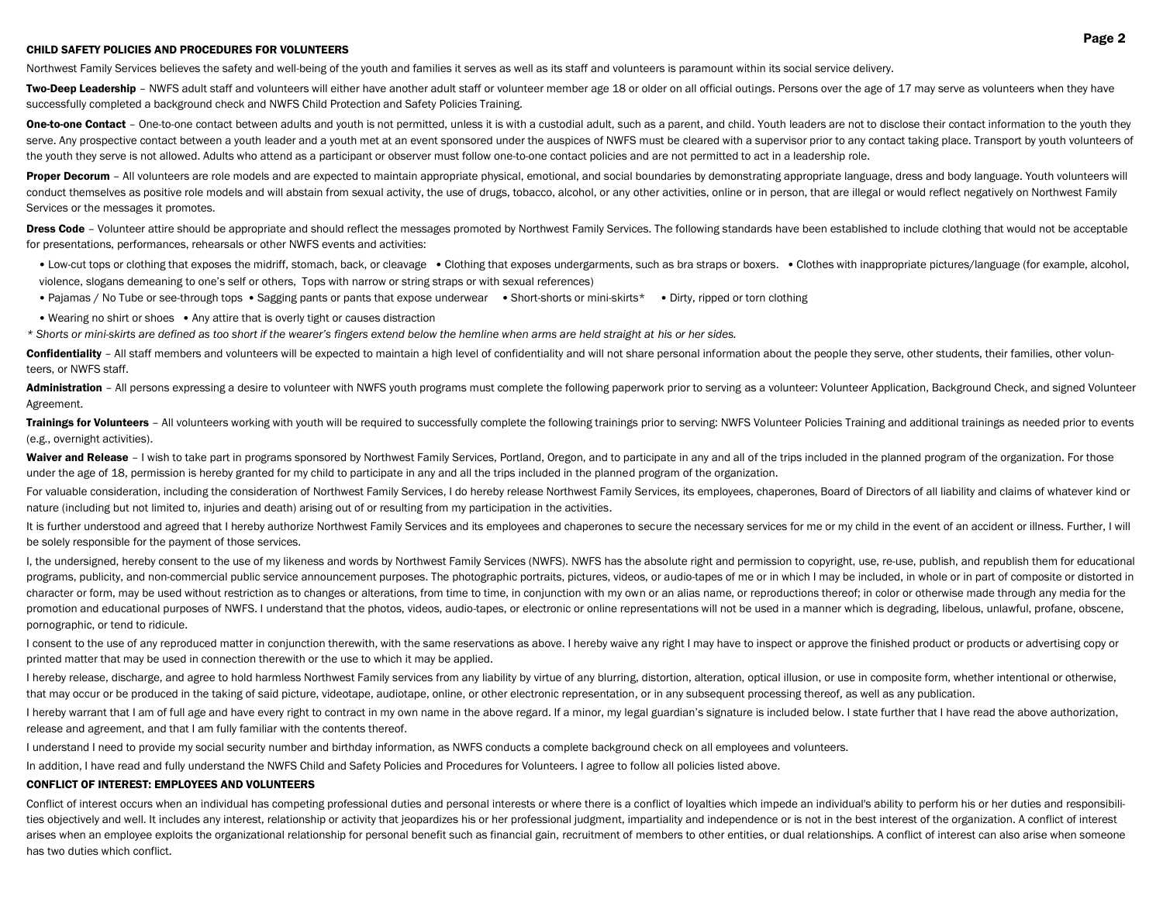### CHILD SAFETY POLICIES AND PROCEDURES FOR VOLUNTEERS

Northwest Family Services believes the safety and well-being of the youth and families it serves as well as its staff and volunteers is paramount within its social service delivery.

Two-Deep Leadership - NWFS adult staff and volunteers will either have another adult staff or volunteer member age 18 or older on all official outings. Persons over the age of 17 may serve as volunteers when they have successfully completed a background check and NWFS Child Protection and Safety Policies Training.

One-to-one Contact - One-to-one contact between adults and youth is not permitted, unless it is with a custodial adult, such as a parent, and child. Youth leaders are not to disclose their contact information to the youth serve. Any prospective contact between a youth leader and a youth met at an event sponsored under the auspices of NWFS must be cleared with a supervisor prior to any contact taking place. Transport by youth volunteers of the youth they serve is not allowed. Adults who attend as a participant or observer must follow one-to-one contact policies and are not permitted to act in a leadership role.

Proper Decorum - All volunteers are role models and are expected to maintain appropriate physical, emotional, and social boundaries by demonstrating appropriate language, dress and body language. Youth volunteers will conduct themselves as positive role models and will abstain from sexual activity, the use of drugs, tobacco, alcohol, or any other activities, online or in person, that are illegal or would reflect negatively on Northwest Services or the messages it promotes.

Dress Code - Volunteer attire should be appropriate and should reflect the messages promoted by Northwest Family Services. The following standards have been established to include clothing that would not be acceptable for presentations, performances, rehearsals or other NWFS events and activities:

- Low-cut tops or clothing that exposes the midriff, stomach, back, or cleavage Clothing that exposes undergarments, such as bra straps or boxers. Clothes with inappropriate pictures/language (for example, alcohol, violence, slogans demeaning to one's self or others, Tops with narrow or string straps or with sexual references)
- Pajamas / No Tube or see-through tops Sagging pants or pants that expose underwear Short-shorts or mini-skirts\* Dirty, ripped or torn clothing
- Wearing no shirt or shoes Any attire that is overly tight or causes distraction

*\* Shorts or mini-skirts are defined as too short if the wearer's fingers extend below the hemline when arms are held straight at his or her sides.*

Confidentiality - All staff members and volunteers will be expected to maintain a high level of confidentiality and will not share personal information about the people they serve, other students, their families, other vol teers, or NWFS staff.

Administration - All persons expressing a desire to volunteer with NWFS youth programs must complete the following paperwork prior to serving as a volunteer: Volunteer Application, Background Check, and signed Volunteer Agreement.

Trainings for Volunteers - All volunteers working with youth will be required to successfully complete the following trainings prior to serving: NWFS Volunteer Policies Training and additional trainings as needed prior to (e.g., overnight activities).

Waiver and Release - I wish to take part in programs sponsored by Northwest Family Services, Portland, Oregon, and to participate in any and all of the trips included in the planned program of the organization. For those under the age of 18, permission is hereby granted for my child to participate in any and all the trips included in the planned program of the organization.

For valuable consideration, including the consideration of Northwest Family Services, I do hereby release Northwest Family Services, its employees, chaperones, Board of Directors of all liability and claims of whatever kin nature (including but not limited to, injuries and death) arising out of or resulting from my participation in the activities.

It is further understood and agreed that I hereby authorize Northwest Family Services and its employees and chaperones to secure the necessary services for me or my child in the event of an accident or illness. Further, I be solely responsible for the payment of those services.

I, the undersigned, hereby consent to the use of my likeness and words by Northwest Family Services (NWFS). NWFS has the absolute right and permission to copyright, use, re-use, publish, and republish them for educational programs, publicity, and non-commercial public service announcement purposes. The photographic portraits, pictures, videos, or audio-tapes of me or in which I may be included, in whole or in part of composite or distorted character or form, may be used without restriction as to changes or alterations, from time to time, in conjunction with my own or an alias name, or reproductions thereof; in color or otherwise made through any media for the promotion and educational purposes of NWFS. I understand that the photos, videos, audio-tapes, or electronic or online representations will not be used in a manner which is degrading, libelous, unlawful, profane, obscene, pornographic, or tend to ridicule.

I consent to the use of any reproduced matter in conjunction therewith, with the same reservations as above. I hereby waive any right I may have to inspect or approve the finished product or products or advertising copy or printed matter that may be used in connection therewith or the use to which it may be applied.

I hereby release, discharge, and agree to hold harmless Northwest Family services from any liability by virtue of any blurring, distortion, alteration, optical illusion, or use in composite form, whether intentional or oth that may occur or be produced in the taking of said picture, videotape, audiotape, online, or other electronic representation, or in any subsequent processing thereof, as well as any publication.

I hereby warrant that I am of full age and have every right to contract in my own name in the above regard. If a minor, my legal guardian's signature is included below. I state further that I have read the above authorizat release and agreement, and that I am fully familiar with the contents thereof.

I understand I need to provide my social security number and birthday information, as NWFS conducts a complete background check on all employees and volunteers.

In addition, I have read and fully understand the NWFS Child and Safety Policies and Procedures for Volunteers. I agree to follow all policies listed above.

# CONFLICT OF INTEREST: EMPLOYEES AND VOLUNTEERS

Conflict of interest occurs when an individual has competing professional duties and personal interests or where there is a conflict of loyalties which impede an individual's ability to perform his or her duties and respon ties objectively and well. It includes any interest, relationship or activity that jeopardizes his or her professional judgment, impartiality and independence or is not in the best interest of the organization. A conflict arises when an employee exploits the organizational relationship for personal benefit such as financial gain, recruitment of members to other entities, or dual relationships. A conflict of interest can also arise when some has two duties which conflict.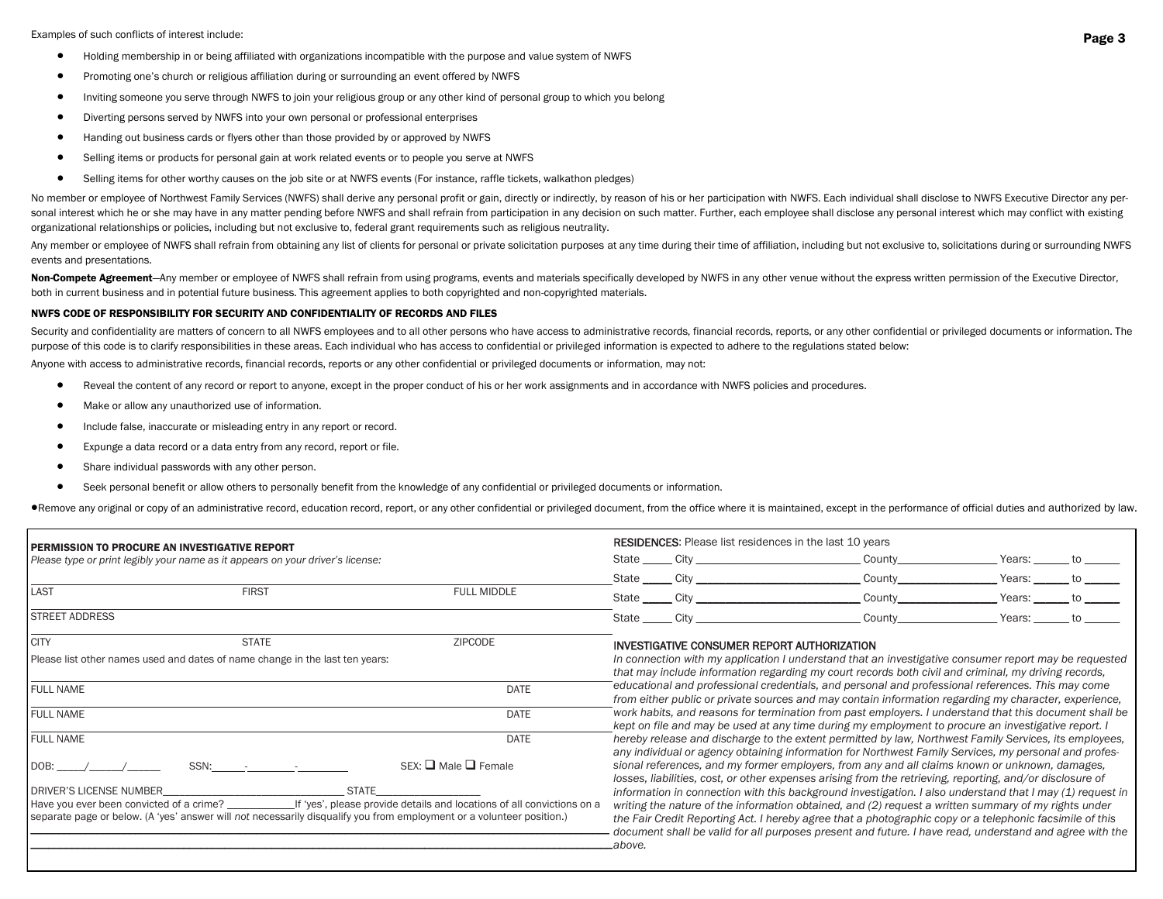Examples of such conflicts of interest include:

- Holding membership in or being affiliated with organizations incompatible with the purpose and value system of NWFS
- Promoting one's church or religious affiliation during or surrounding an event offered by NWFS
- Inviting someone you serve through NWFS to join your religious group or any other kind of personal group to which you belong
- Diverting persons served by NWFS into your own personal or professional enterprises
- Handing out business cards or flyers other than those provided by or approved by NWFS
- Selling items or products for personal gain at work related events or to people you serve at NWFS
- Selling items for other worthy causes on the job site or at NWFS events (For instance, raffle tickets, walkathon pledges)

No member or employee of Northwest Family Services (NWFS) shall derive any personal profit or gain, directly or indirectly, by reason of his or her participation with NWFS. Each individual shall disclose to NWFS Executive sonal interest which he or she may have in any matter pending before NWFS and shall refrain from participation in any decision on such matter. Further, each employee shall disclose any personal interest which may conflict organizational relationships or policies, including but not exclusive to, federal grant requirements such as religious neutrality.

Any member or employee of NWFS shall refrain from obtaining any list of clients for personal or private solicitation purposes at any time during their time of affiliation, including but not exclusive to, solicitations duri events and presentations.

Non-Compete Agreement—Any member or employee of NWFS shall refrain from using programs, events and materials specifically developed by NWFS in any other venue without the express written permission of the Executive Directo both in current business and in potential future business. This agreement applies to both copyrighted and non-copyrighted materials.

#### NWFS CODE OF RESPONSIBILITY FOR SECURITY AND CONFIDENTIALITY OF RECORDS AND FILES

Security and confidentiality are matters of concern to all NWFS employees and to all other persons who have access to administrative records, financial records, reports, or any other confidential or privileged documents or purpose of this code is to clarify responsibilities in these areas. Each individual who has access to confidential or privileged information is expected to adhere to the regulations stated below:

Anyone with access to administrative records, financial records, reports or any other confidential or privileged documents or information, may not:

- Reveal the content of any record or report to anyone, except in the proper conduct of his or her work assignments and in accordance with NWFS policies and procedures.
- $\bullet$  Make or allow any unauthorized use of information.
- Include false, inaccurate or misleading entry in any report or record.
- Expunge a data record or a data entry from any record, report or file.
- Share individual passwords with any other person.
- Seek personal benefit or allow others to personally benefit from the knowledge of any confidential or privileged documents or information.

.Wemove any original or copy of an administrative record, education record, report, or any other confidential or privileged document, from the office where it is maintained, except in the performance of official duties and

| <b>PERMISSION TO PROCURE AN INVESTIGATIVE REPORT</b><br>Please type or print legibly your name as it appears on your driver's license:                            |              |                                                                        | <b>RESIDENCES:</b> Please list residences in the last 10 years |            |  |                                                                                                                                                                                                                                                                                                                             |  |        |  |  |  |  |
|-------------------------------------------------------------------------------------------------------------------------------------------------------------------|--------------|------------------------------------------------------------------------|----------------------------------------------------------------|------------|--|-----------------------------------------------------------------------------------------------------------------------------------------------------------------------------------------------------------------------------------------------------------------------------------------------------------------------------|--|--------|--|--|--|--|
|                                                                                                                                                                   |              |                                                                        |                                                                | State City |  | County                                                                                                                                                                                                                                                                                                                      |  | Years: |  |  |  |  |
|                                                                                                                                                                   |              |                                                                        |                                                                |            |  | County                                                                                                                                                                                                                                                                                                                      |  | Years: |  |  |  |  |
| LAST                                                                                                                                                              | <b>FIRST</b> | <b>FULL MIDDLE</b>                                                     | State City                                                     |            |  | County                                                                                                                                                                                                                                                                                                                      |  | Years: |  |  |  |  |
| <b>STREET ADDRESS</b>                                                                                                                                             |              |                                                                        | State City                                                     |            |  | County                                                                                                                                                                                                                                                                                                                      |  | Years: |  |  |  |  |
| <b>CITY</b>                                                                                                                                                       | <b>STATE</b> | <b>ZIPCODE</b>                                                         |                                                                |            |  | INVESTIGATIVE CONSUMER REPORT AUTHORIZATION                                                                                                                                                                                                                                                                                 |  |        |  |  |  |  |
| Please list other names used and dates of name change in the last ten years:                                                                                      |              |                                                                        |                                                                |            |  | In connection with my application I understand that an investigative consumer report may be requested<br>that may include information regarding my court records both civil and criminal, my driving records,                                                                                                               |  |        |  |  |  |  |
| <b>FULL NAME</b>                                                                                                                                                  |              | <b>DATE</b>                                                            |                                                                |            |  | educational and professional credentials, and personal and professional references. This may come<br>from either public or private sources and may contain information regarding my character, experience,                                                                                                                  |  |        |  |  |  |  |
| <b>FULL NAME</b>                                                                                                                                                  |              | <b>DATE</b>                                                            |                                                                |            |  | work habits, and reasons for termination from past employers. I understand that this document shall be<br>kept on file and may be used at any time during my employment to procure an investigative report. I                                                                                                               |  |        |  |  |  |  |
| <b>FULL NAME</b>                                                                                                                                                  |              | DATE                                                                   |                                                                |            |  | hereby release and discharge to the extent permitted by law, Northwest Family Services, its employees,<br>any individual or agency obtaining information for Northwest Family Services, my personal and profes-                                                                                                             |  |        |  |  |  |  |
| DOB:<br>$SSN:$ $\qquad$ $\qquad$ $\qquad$ $\qquad$                                                                                                                |              | $SEX:$ Male $\Box$ Female                                              |                                                                |            |  | sional references, and my former employers, from any and all claims known or unknown, damages,<br>losses, liabilities, cost, or other expenses arising from the retrieving, reporting, and/or disclosure of                                                                                                                 |  |        |  |  |  |  |
| <b>DRIVER'S LICENSE NUMBER</b>                                                                                                                                    | STATF        |                                                                        |                                                                |            |  | information in connection with this background investigation. I also understand that I may (1) request in                                                                                                                                                                                                                   |  |        |  |  |  |  |
| Have you ever been convicted of a crime?<br>separate page or below. (A 'yes' answer will not necessarily disqualify you from employment or a volunteer position.) |              | If 'yes', please provide details and locations of all convictions on a | .above.                                                        |            |  | writing the nature of the information obtained, and (2) request a written summary of my rights under<br>the Fair Credit Reporting Act. I hereby agree that a photographic copy or a telephonic facsimile of this<br>document shall be valid for all purposes present and future. I have read, understand and agree with the |  |        |  |  |  |  |
|                                                                                                                                                                   |              |                                                                        |                                                                |            |  |                                                                                                                                                                                                                                                                                                                             |  |        |  |  |  |  |